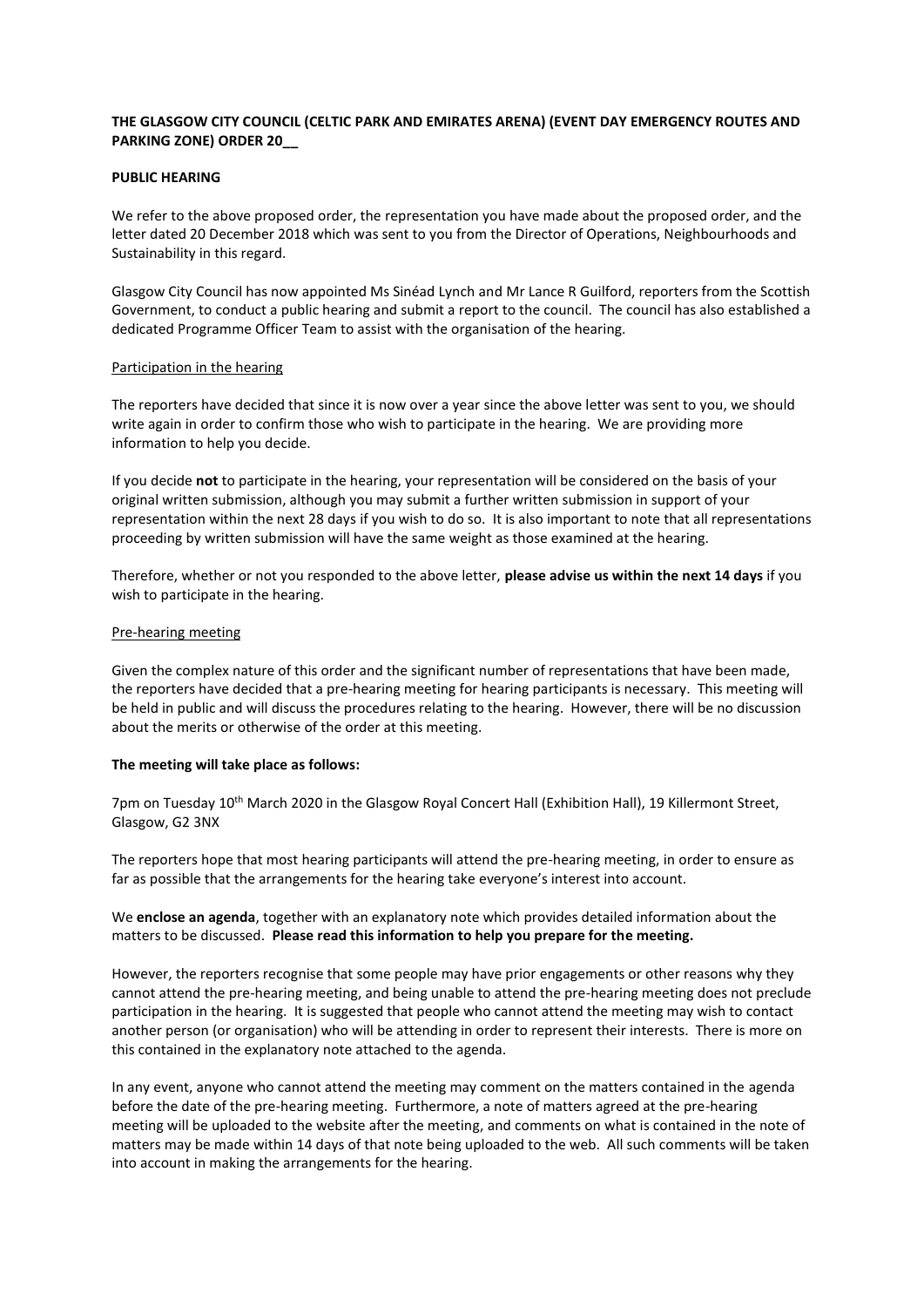# **THE GLASGOW CITY COUNCIL (CELTIC PARK AND EMIRATES ARENA) (EVENT DAY EMERGENCY ROUTES AND PARKING ZONE) ORDER 20\_\_**

## **PUBLIC HEARING**

We refer to the above proposed order, the representation you have made about the proposed order, and the letter dated 20 December 2018 which was sent to you from the Director of Operations, Neighbourhoods and Sustainability in this regard.

Glasgow City Council has now appointed Ms Sinéad Lynch and Mr Lance R Guilford, reporters from the Scottish Government, to conduct a public hearing and submit a report to the council. The council has also established a dedicated Programme Officer Team to assist with the organisation of the hearing.

### Participation in the hearing

The reporters have decided that since it is now over a year since the above letter was sent to you, we should write again in order to confirm those who wish to participate in the hearing. We are providing more information to help you decide.

If you decide **not** to participate in the hearing, your representation will be considered on the basis of your original written submission, although you may submit a further written submission in support of your representation within the next 28 days if you wish to do so. It is also important to note that all representations proceeding by written submission will have the same weight as those examined at the hearing.

Therefore, whether or not you responded to the above letter, **please advise us within the next 14 days** if you wish to participate in the hearing.

# Pre-hearing meeting

Given the complex nature of this order and the significant number of representations that have been made, the reporters have decided that a pre-hearing meeting for hearing participants is necessary. This meeting will be held in public and will discuss the procedures relating to the hearing. However, there will be no discussion about the merits or otherwise of the order at this meeting.

### **The meeting will take place as follows:**

7pm on Tuesday 10<sup>th</sup> March 2020 in the Glasgow Royal Concert Hall (Exhibition Hall), 19 Killermont Street, Glasgow, G2 3NX

The reporters hope that most hearing participants will attend the pre-hearing meeting, in order to ensure as far as possible that the arrangements for the hearing take everyone's interest into account.

We **enclose an agenda**, together with an explanatory note which provides detailed information about the matters to be discussed. **Please read this information to help you prepare for the meeting.**

However, the reporters recognise that some people may have prior engagements or other reasons why they cannot attend the pre-hearing meeting, and being unable to attend the pre-hearing meeting does not preclude participation in the hearing. It is suggested that people who cannot attend the meeting may wish to contact another person (or organisation) who will be attending in order to represent their interests. There is more on this contained in the explanatory note attached to the agenda.

In any event, anyone who cannot attend the meeting may comment on the matters contained in the agenda before the date of the pre-hearing meeting. Furthermore, a note of matters agreed at the pre-hearing meeting will be uploaded to the website after the meeting, and comments on what is contained in the note of matters may be made within 14 days of that note being uploaded to the web. All such comments will be taken into account in making the arrangements for the hearing.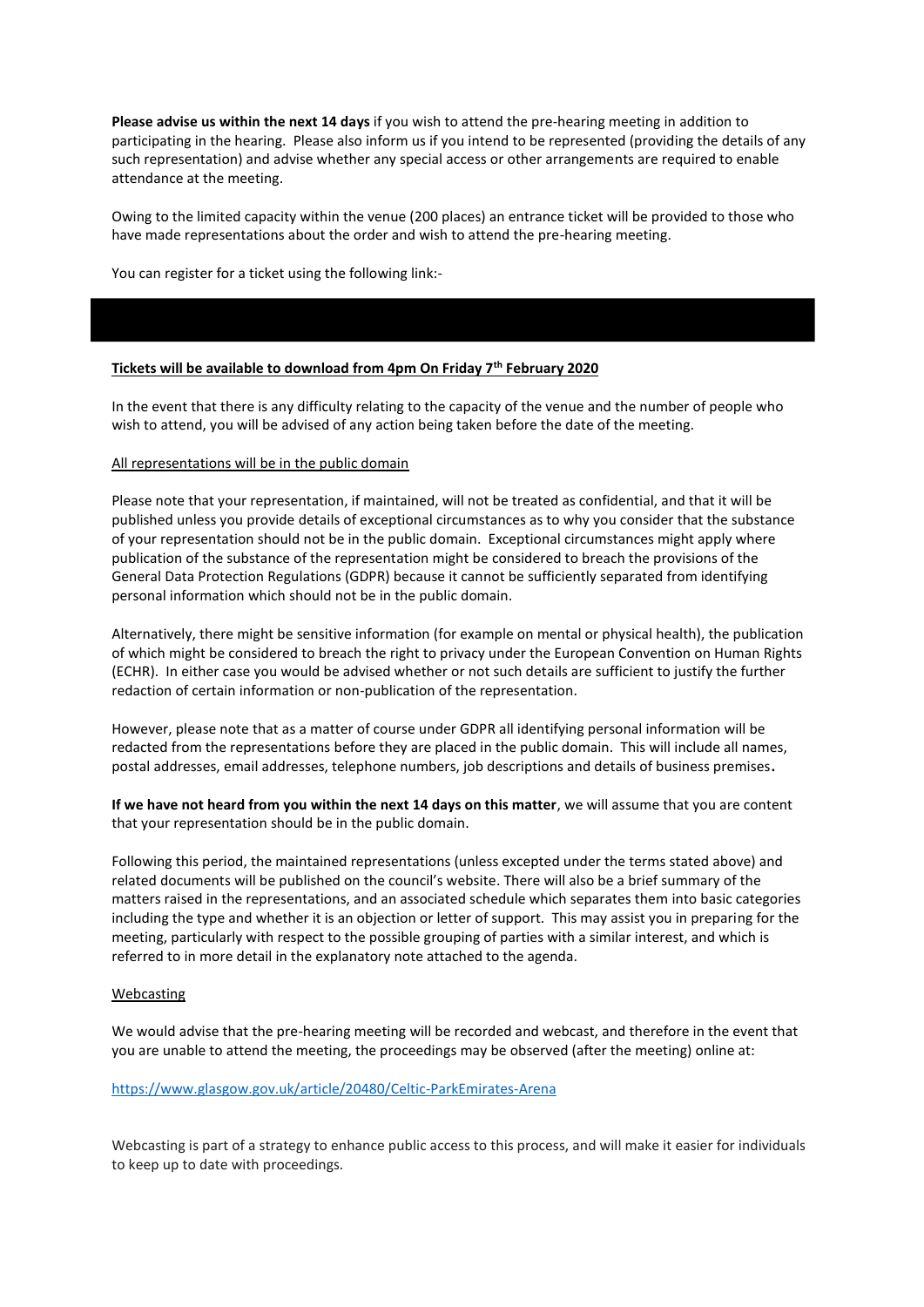**Please advise us within the next 14 days** if you wish to attend the pre-hearing meeting in addition to participating in the hearing. Please also inform us if you intend to be represented (providing the details of any such representation) and advise whether any special access or other arrangements are required to enable attendance at the meeting.

Owing to the limited capacity within the venue (200 places) an entrance ticket will be provided to those who have made representations about the order and wish to attend the pre-hearing meeting.

You can register for a ticket using the following link:-

# **Tickets will be available to download from 4pm On Friday 7th February 2020**

In the event that there is any difficulty relating to the capacity of the venue and the number of people who wish to attend, you will be advised of any action being taken before the date of the meeting.

### All representations will be in the public domain

Please note that your representation, if maintained, will not be treated as confidential, and that it will be published unless you provide details of exceptional circumstances as to why you consider that the substance of your representation should not be in the public domain. Exceptional circumstances might apply where publication of the substance of the representation might be considered to breach the provisions of the General Data Protection Regulations (GDPR) because it cannot be sufficiently separated from identifying personal information which should not be in the public domain.

Alternatively, there might be sensitive information (for example on mental or physical health), the publication of which might be considered to breach the right to privacy under the European Convention on Human Rights (ECHR). In either case you would be advised whether or not such details are sufficient to justify the further redaction of certain information or non-publication of the representation.

However, please note that as a matter of course under GDPR all identifying personal information will be redacted from the representations before they are placed in the public domain. This will include all names, postal addresses, email addresses, telephone numbers, job descriptions and details of business premises**.** 

**If we have not heard from you within the next 14 days on this matter**, we will assume that you are content that your representation should be in the public domain.

Following this period, the maintained representations (unless excepted under the terms stated above) and related documents will be published on the council's website. There will also be a brief summary of the matters raised in the representations, and an associated schedule which separates them into basic categories including the type and whether it is an objection or letter of support. This may assist you in preparing for the meeting, particularly with respect to the possible grouping of parties with a similar interest, and which is referred to in more detail in the explanatory note attached to the agenda.

## Webcasting

We would advise that the pre-hearing meeting will be recorded and webcast, and therefore in the event that you are unable to attend the meeting, the proceedings may be observed (after the meeting) online at:

#### <https://www.glasgow.gov.uk/article/20480/Celtic-ParkEmirates-Arena>

Webcasting is part of a strategy to enhance public access to this process, and will make it easier for individuals to keep up to date with proceedings.